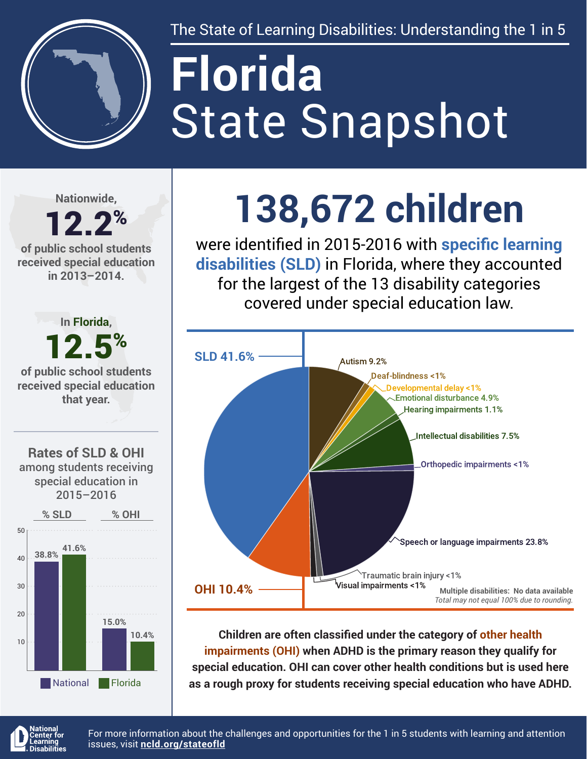

The State of Learning Disabilities: Understanding the 1 in 5

# State Snapshot **Florida**

**Nationwide,**

12.2% **of public school students received special education in 2013–2014.**



## **138,672 children**

were identified in 2015-2016 with **specific learning disabilities (SLD)** in Florida, where they accounted for the largest of the 13 disability categories covered under special education law.



**Children are often classified under the category of other health impairments (OHI) when ADHD is the primary reason they qualify for special education. OHI can cover other health conditions but is used here as a rough proxy for students receiving special education who have ADHD.**



For more information about the challenges and opportunities for the 1 in 5 students with learning and attention issues, visit **[ncld.org/stateofld](http://ncld.org/stateofld)**